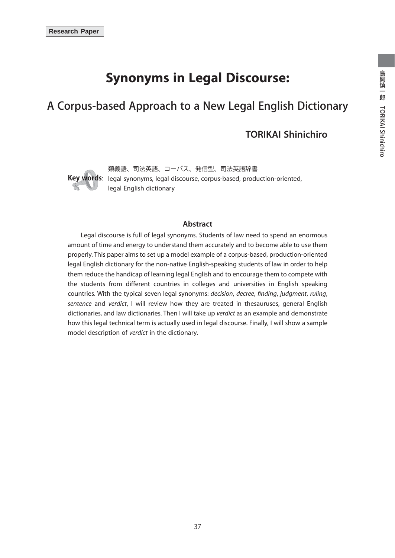# **Synonyms in Legal Discourse:**

# A Corpus-based Approach to a New Legal English Dictionary

## **TORIKAI Shinichiro**



**Key words**: legal synonyms, legal discourse, corpus-based, production-oriented, 類義語、司法英語、コーパス、発信型、司法英語辞書 legal English dictionary

#### **Abstract**

 Legal discourse is full of legal synonyms. Students of law need to spend an enormous amount of time and energy to understand them accurately and to become able to use them properly. This paper aims to set up a model example of a corpus-based, production-oriented legal English dictionary for the non-native English-speaking students of law in order to help them reduce the handicap of learning legal English and to encourage them to compete with the students from different countries in colleges and universities in English speaking countries. With the typical seven legal synonyms: decision, decree, finding, judgment, ruling, sentence and verdict, I will review how they are treated in thesauruses, general English dictionaries, and law dictionaries. Then I will take up verdict as an example and demonstrate how this legal technical term is actually used in legal discourse. Finally, I will show a sample model description of verdict in the dictionary.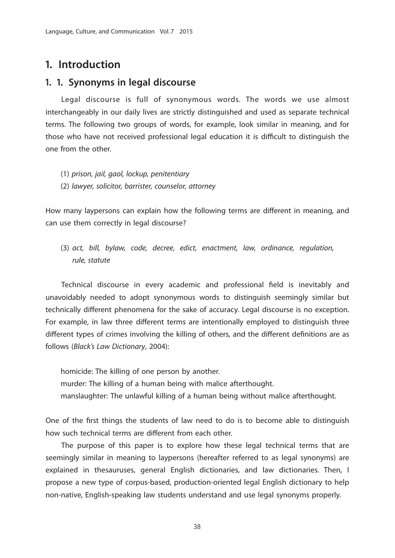# **1. Introduction**

## **1. 1. Synonyms in legal discourse**

 Legal discourse is full of synonymous words. The words we use almost interchangeably in our daily lives are strictly distinguished and used as separate technical terms. The following two groups of words, for example, look similar in meaning, and for those who have not received professional legal education it is difficult to distinguish the one from the other.

- (1) prison, jail, gaol, lockup, penitentiary
- (2) lawyer, solicitor, barrister, counselor, attorney

How many laypersons can explain how the following terms are different in meaning, and can use them correctly in legal discourse?

(3) act, bill, bylaw, code, decree, edict, enactment, law, ordinance, regulation, rule, statute

Technical discourse in every academic and professional field is inevitably and unavoidably needed to adopt synonymous words to distinguish seemingly similar but technically different phenomena for the sake of accuracy. Legal discourse is no exception. For example, in law three different terms are intentionally employed to distinguish three different types of crimes involving the killing of others, and the different definitions are as follows (Black's Law Dictionary, 2004):

homicide: The killing of one person by another. murder: The killing of a human being with malice afterthought. manslaughter: The unlawful killing of a human being without malice afterthought.

One of the first things the students of law need to do is to become able to distinguish how such technical terms are different from each other.

 The purpose of this paper is to explore how these legal technical terms that are seemingly similar in meaning to laypersons (hereafter referred to as legal synonyms) are explained in thesauruses, general English dictionaries, and law dictionaries. Then, I propose a new type of corpus-based, production-oriented legal English dictionary to help non-native, English-speaking law students understand and use legal synonyms properly.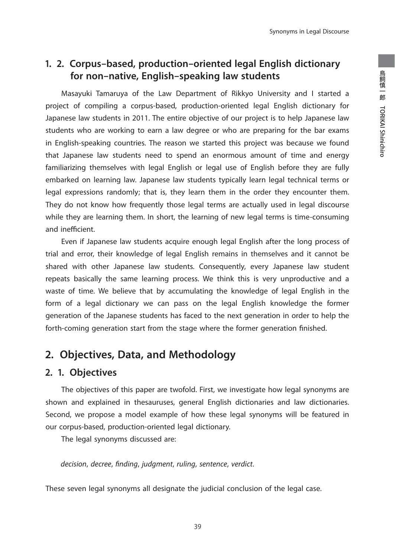# **1. 2. Corpus-based, production-oriented legal English dictionary for non-native, English-speaking law students**

 Masayuki Tamaruya of the Law Department of Rikkyo University and I started a project of compiling a corpus-based, production-oriented legal English dictionary for Japanese law students in 2011. The entire objective of our project is to help Japanese law students who are working to earn a law degree or who are preparing for the bar exams in English-speaking countries. The reason we started this project was because we found that Japanese law students need to spend an enormous amount of time and energy familiarizing themselves with legal English or legal use of English before they are fully embarked on learning law. Japanese law students typically learn legal technical terms or legal expressions randomly; that is, they learn them in the order they encounter them. They do not know how frequently those legal terms are actually used in legal discourse while they are learning them. In short, the learning of new legal terms is time-consuming and inefficient.

 Even if Japanese law students acquire enough legal English after the long process of trial and error, their knowledge of legal English remains in themselves and it cannot be shared with other Japanese law students. Consequently, every Japanese law student repeats basically the same learning process. We think this is very unproductive and a waste of time. We believe that by accumulating the knowledge of legal English in the form of a legal dictionary we can pass on the legal English knowledge the former generation of the Japanese students has faced to the next generation in order to help the forth-coming generation start from the stage where the former generation finished.

# **2. Objectives, Data, and Methodology**

## **2. 1. Objectives**

 The objectives of this paper are twofold. First, we investigate how legal synonyms are shown and explained in thesauruses, general English dictionaries and law dictionaries. Second, we propose a model example of how these legal synonyms will be featured in our corpus-based, production-oriented legal dictionary.

The legal synonyms discussed are:

decision, decree, finding, judgment, ruling, sentence, verdict.

These seven legal synonyms all designate the judicial conclusion of the legal case.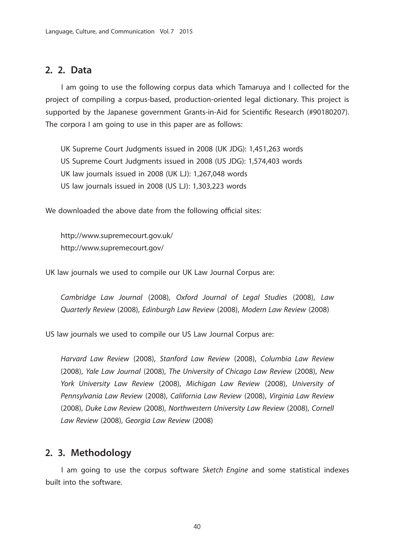## **2. 2. Data**

 I am going to use the following corpus data which Tamaruya and I collected for the project of compiling a corpus-based, production-oriented legal dictionary. This project is supported by the Japanese government Grants-in-Aid for Scientific Research (#90180207). The corpora I am going to use in this paper are as follows:

UK Supreme Court Judgments issued in 2008 (UK JDG): 1,451,263 words

US Supreme Court Judgments issued in 2008 (US JDG): 1,574,403 words

UK law journals issued in 2008 (UK LJ): 1,267,048 words

US law journals issued in 2008 (US LJ): 1,303,223 words

We downloaded the above date from the following official sites:

http://www.supremecourt.gov.uk/ http://www.supremecourt.gov/

UK law journals we used to compile our UK Law Journal Corpus are:

Cambridge Law Journal (2008), Oxford Journal of Legal Studies (2008), Law Quarterly Review (2008), Edinburgh Law Review (2008), Modern Law Review (2008)

US law journals we used to compile our US Law Journal Corpus are:

Harvard Law Review (2008), Stanford Law Review (2008), Columbia Law Review (2008), Yale Law Journal (2008), The University of Chicago Law Review (2008), New York University Law Review (2008), Michigan Law Review (2008), University of Pennsylvania Law Review (2008), California Law Review (2008), Virginia Law Review (2008), Duke Law Review (2008), Northwestern University Law Review (2008), Cornell Law Review (2008), Georgia Law Review (2008)

## **2. 3. Methodology**

 I am going to use the corpus software Sketch Engine and some statistical indexes built into the software.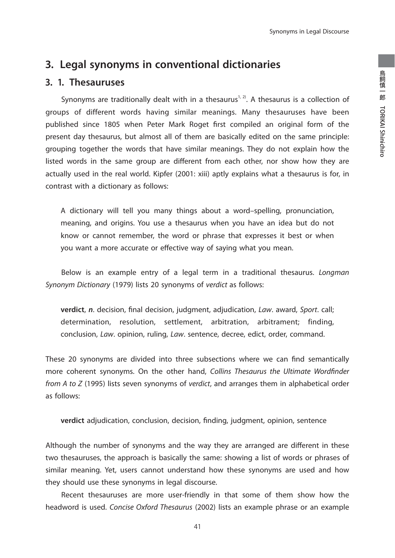# **3. Legal synonyms in conventional dictionaries**

## **3. 1. Thesauruses**

Synonyms are traditionally dealt with in a thesaurus<sup>1, 2)</sup>. A thesaurus is a collection of groups of different words having similar meanings. Many thesauruses have been published since 1805 when Peter Mark Roget first compiled an original form of the present day thesaurus, but almost all of them are basically edited on the same principle: grouping together the words that have similar meanings. They do not explain how the listed words in the same group are different from each other, nor show how they are actually used in the real world. Kipfer (2001: xiii) aptly explains what a thesaurus is for, in contrast with a dictionary as follows:

A dictionary will tell you many things about a word–spelling, pronunciation, meaning, and origins. You use a thesaurus when you have an idea but do not know or cannot remember, the word or phrase that expresses it best or when you want a more accurate or effective way of saying what you mean.

Below is an example entry of a legal term in a traditional thesaurus. Longman Synonym Dictionary (1979) lists 20 synonyms of verdict as follows:

**verdict**, *n*. decision, final decision, judgment, adjudication, Law. award, Sport. call; determination, resolution, settlement, arbitration, arbitrament; finding, conclusion, Law. opinion, ruling, Law. sentence, decree, edict, order, command.

These 20 synonyms are divided into three subsections where we can find semantically more coherent synonyms. On the other hand, Collins Thesaurus the Ultimate Wordfinder from A to Z (1995) lists seven synonyms of verdict, and arranges them in alphabetical order as follows:

**verdict** adjudication, conclusion, decision, finding, judgment, opinion, sentence

Although the number of synonyms and the way they are arranged are different in these two thesauruses, the approach is basically the same: showing a list of words or phrases of similar meaning. Yet, users cannot understand how these synonyms are used and how they should use these synonyms in legal discourse.

 Recent thesauruses are more user-friendly in that some of them show how the headword is used. Concise Oxford Thesaurus (2002) lists an example phrase or an example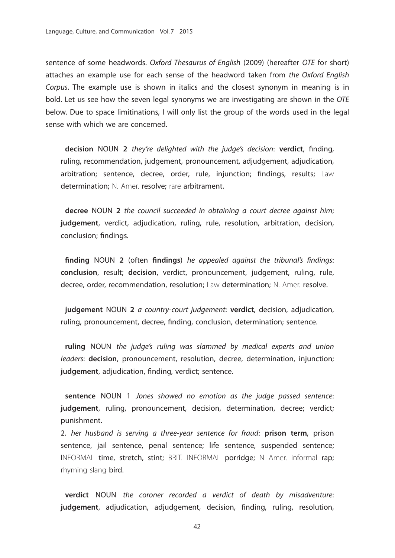sentence of some headwords. Oxford Thesaurus of English (2009) (hereafter OTE for short) attaches an example use for each sense of the headword taken from the Oxford English Corpus. The example use is shown in italics and the closest synonym in meaning is in bold. Let us see how the seven legal synonyms we are investigating are shown in the OTE below. Due to space limitinations, I will only list the group of the words used in the legal sense with which we are concerned.

**decision** NOUN 2 they're delighted with the judge's decision: **verdict**, finding, ruling, recommendation, judgement, pronouncement, adjudgement, adjudication, arbitration; sentence, decree, order, rule, injunction; findings, results; Law determination; N. Amer. resolve; rare arbitrament.

**decree** NOUN **2** the council succeeded in obtaining a court decree against him; **judgement**, verdict, adjudication, ruling, rule, resolution, arbitration, decision, conclusion; findings.

finding NOUN 2 (often findings) he appealed against the tribunal's findings: **conclusion**, result; **decision**, verdict, pronouncement, judgement, ruling, rule, decree, order, recommendation, resolution; Law determination; N. Amer. resolve.

**judgement** NOUN **2** a country-court judgement: **verdict**, decision, adjudication, ruling, pronouncement, decree, finding, conclusion, determination; sentence.

**ruling** NOUN the judge's ruling was slammed by medical experts and union leaders: **decision**, pronouncement, resolution, decree, determination, injunction; **judgement**, adjudication, finding, verdict; sentence.

**sentence** NOUN 1 Jones showed no emotion as the judge passed sentence: **judgement**, ruling, pronouncement, decision, determination, decree; verdict; punishment.

2. her husband is serving a three-year sentence for fraud: **prison term**, prison sentence, jail sentence, penal sentence; life sentence, suspended sentence; INFORMAL time, stretch, stint; BRIT. INFORMAL porridge; N Amer. informal rap; rhyming slang bird.

**verdict** NOUN the coroner recorded a verdict of death by misadventure: **judgement**, adjudication, adjudgement, decision, finding, ruling, resolution,

42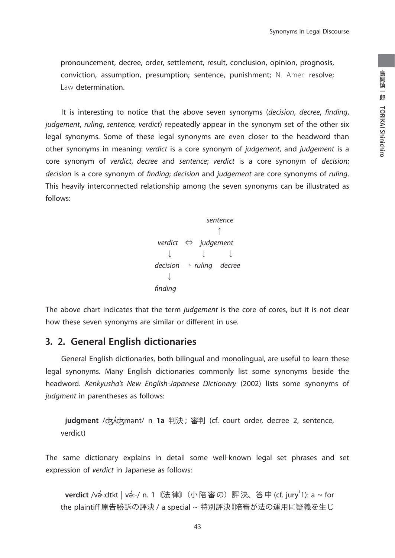pronouncement, decree, order, settlement, result, conclusion, opinion, prognosis, conviction, assumption, presumption; sentence, punishment; N. Amer. resolve; Law determination.

It is interesting to notice that the above seven synonyms (decision, decree, finding, judgement, ruling, sentence, verdict) repeatedly appear in the synonym set of the other six legal synonyms. Some of these legal synonyms are even closer to the headword than other synonyms in meaning: verdict is a core synonym of judgement, and judgement is a core synonym of verdict, decree and sentence; verdict is a core synonym of decision; decision is a core synonym of finding; decision and judgement are core synonyms of ruling. This heavily interconnected relationship among the seven synonyms can be illustrated as follows:

> sentence  $\uparrow$ verdict  $\Leftrightarrow$  judgement  $\downarrow$   $\downarrow$   $\downarrow$ decision  $\rightarrow$  ruling decree  $\overline{1}$ finding

The above chart indicates that the term judgement is the core of cores, but it is not clear how these seven synonyms are similar or different in use.

## **3. 2. General English dictionaries**

 General English dictionaries, both bilingual and monolingual, are useful to learn these legal synonyms. Many English dictionaries commonly list some synonyms beside the headword. Kenkyusha's New English-Japanese Dictionary (2002) lists some synonyms of judgment in parentheses as follows:

**judgment** /ʤʌ'ʤmənt/ n **1a** 判決 ; 審判 (cf. court order, decree 2, sentence, verdict)

The same dictionary explains in detail some well-known legal set phrases and set expression of verdict in Japanese as follows:

**verdict** /və́ːdɪkt | və́:-/ n. 1〖法律〗(小陪審の)評決、答申 (cf. jury<sup>1</sup>1): a ~ for the plaintiff 原告勝訴の評決 / a special ~ 特別評決⦅陪審が法の運用に疑義を生じ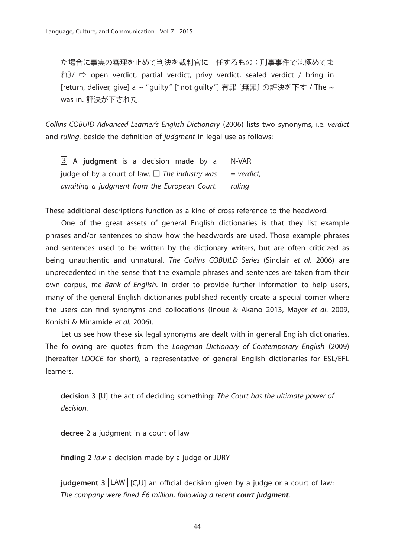た場合に事実の審理を止めて判決を裁判官に一任するもの;刑事事件では極めてま れ⦆/ ⇨ open verdict, partial verdict, privy verdict, sealed verdict / bring in [return, deliver, give] a ~ "guilty" ["not guilty"] 有罪〔無罪〕の評決を下す / The ~ was in. 評決が下された.

Collins COBUID Advanced Learner's English Dictionary (2006) lists two synonyms, i.e. verdict and ruling, beside the definition of judgment in legal use as follows:

 $\begin{array}{|l|l|} \hline 3 & A & \textbf{judgment} \\ \hline \end{array}$  is a decision made by a  $N-VAR$ judge of by a court of law.  $\Box$  The industry was = verdict, awaiting a judgment from the European Court. ruling

These additional descriptions function as a kind of cross-reference to the headword.

 One of the great assets of general English dictionaries is that they list example phrases and/or sentences to show how the headwords are used. Those example phrases and sentences used to be written by the dictionary writers, but are often criticized as being unauthentic and unnatural. The Collins COBUILD Series (Sinclair et al. 2006) are unprecedented in the sense that the example phrases and sentences are taken from their own corpus, the Bank of English. In order to provide further information to help users, many of the general English dictionaries published recently create a special corner where the users can find synonyms and collocations (Inoue & Akano 2013, Mayer et al. 2009, Konishi & Minamide et al. 2006).

 Let us see how these six legal synonyms are dealt with in general English dictionaries. The following are quotes from the Longman Dictionary of Contemporary English (2009) (hereafter LDOCE for short), a representative of general English dictionaries for ESL/EFL learners.

**decision 3** [U] the act of deciding something: The Court has the ultimate power of decision.

**decree** 2 a judgment in a court of law

finding 2 law a decision made by a judge or JURY

**judgement 3** LAW [C,U] an official decision given by a judge or a court of law: The company were fined £6 million, following a recent **court judgment**.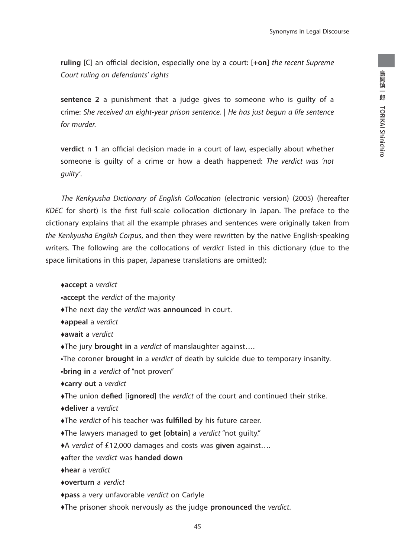**ruling** [C] an official decision, especially one by a court:  $[+on]$  the recent Supreme Court ruling on defendants' rights

**sentence 2** a punishment that a judge gives to someone who is guilty of a crime: She received an eight-year prison sentence. | He has just begun a life sentence for murder.

**verdict** n 1 an official decision made in a court of law, especially about whether someone is guilty of a crime or how a death happened: The verdict was 'not guilty'.

 The Kenkyusha Dictionary of English Collocation (electronic version) (2005) (hereafter KDEC for short) is the first full-scale collocation dictionary in Japan. The preface to the dictionary explains that all the example phrases and sentences were originally taken from the Kenkyusha English Corpus, and then they were rewritten by the native English-speaking writers. The following are the collocations of verdict listed in this dictionary (due to the space limitations in this paper, Japanese translations are omitted):

♦**accept** a verdict

**•accept** the verdict of the majority

♦The next day the verdict was **announced** in court.

♦**appeal** a verdict

♦**await** a verdict

♦The jury **brought in** a verdict of manslaughter against….

**•**The coroner **brought in** a verdict of death by suicide due to temporary insanity. **•bring in** a verdict of "not proven"

♦**carry out** a verdict

 $\blacklozenge$ The union **defied** [**ignored**] the verdict of the court and continued their strike.

♦**deliver** a verdict

♦The verdict of his teacher was **fulfi lled** by his future career.

♦The lawyers managed to **get** [**obtain**] a verdict "not guilty."

♦A verdict of £12,000 damages and costs was **given** against….

♦after the verdict was **handed down**

♦**hear** a verdict

♦**overturn** a verdict

♦**pass** a very unfavorable verdict on Carlyle

♦The prisoner shook nervously as the judge **pronounced** the verdict.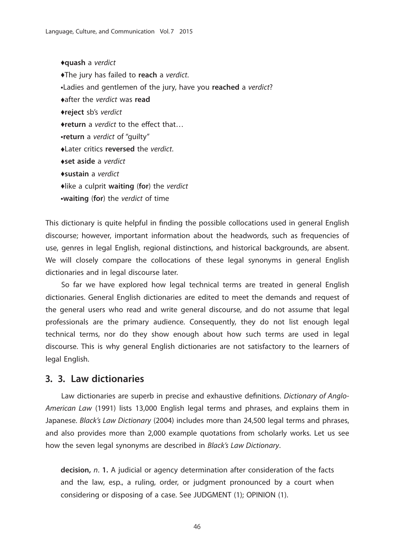♦**quash** a verdict ♦The jury has failed to **reach** a verdict. **•**Ladies and gentlemen of the jury, have you **reached** a verdict? ♦after the verdict was **read** ♦**reject** sb's verdict ◆return a *verdict* to the effect that... **•return** a verdict of "guilty" ♦Later critics **reversed** the verdict. ♦**set aside** a verdict ♦**sustain** a verdict ♦like a culprit **waiting** (**for**) the verdict **•waiting** (**for**) the verdict of time

This dictionary is quite helpful in finding the possible collocations used in general English discourse; however, important information about the headwords, such as frequencies of use, genres in legal English, regional distinctions, and historical backgrounds, are absent. We will closely compare the collocations of these legal synonyms in general English dictionaries and in legal discourse later.

 So far we have explored how legal technical terms are treated in general English dictionaries. General English dictionaries are edited to meet the demands and request of the general users who read and write general discourse, and do not assume that legal professionals are the primary audience. Consequently, they do not list enough legal technical terms, nor do they show enough about how such terms are used in legal discourse. This is why general English dictionaries are not satisfactory to the learners of legal English.

## **3. 3. Law dictionaries**

Law dictionaries are superb in precise and exhaustive definitions. Dictionary of Anglo-American Law (1991) lists 13,000 English legal terms and phrases, and explains them in Japanese. Black's Law Dictionary (2004) includes more than 24,500 legal terms and phrases, and also provides more than 2,000 example quotations from scholarly works. Let us see how the seven legal synonyms are described in Black's Law Dictionary.

**decision,** n. **1.** A judicial or agency determination after consideration of the facts and the law, esp., a ruling, order, or judgment pronounced by a court when considering or disposing of a case. See JUDGMENT (1); OPINION (1).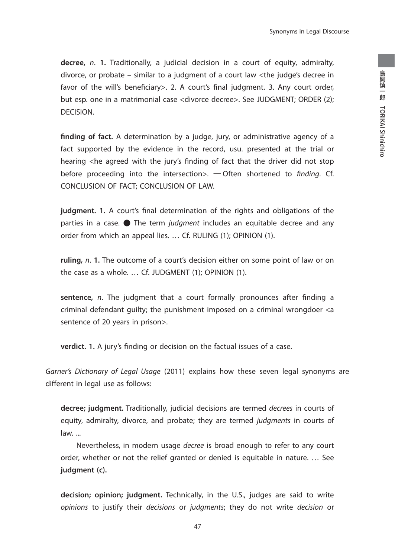Synonyms in Legal Discourse

**decree,** n. **1.** Traditionally, a judicial decision in a court of equity, admiralty, divorce, or probate – similar to a judgment of a court law <the judge's decree in favor of the will's beneficiary>. 2. A court's final judgment. 3. Any court order, but esp. one in a matrimonial case <divorce decree>. See JUDGMENT; ORDER (2); DECISION.

finding of fact. A determination by a judge, jury, or administrative agency of a fact supported by the evidence in the record, usu. presented at the trial or hearing <he agreed with the jury's finding of fact that the driver did not stop before proceeding into the intersection >.  $-$  Often shortened to finding. Cf. CONCLUSION OF FACT; CONCLUSION OF LAW.

**judgment.** 1. A court's final determination of the rights and obligations of the parties in a case.  $\bullet$  The term *judgment* includes an equitable decree and any order from which an appeal lies. … Cf. RULING (1); OPINION (1).

**ruling,** n. **1.** The outcome of a court's decision either on some point of law or on the case as a whole. … Cf. JUDGMENT (1); OPINION (1).

sentence, *n*. The judgment that a court formally pronounces after finding a criminal defendant guilty; the punishment imposed on a criminal wrongdoer <a sentence of 20 years in prison>.

**verdict. 1.** A jury's finding or decision on the factual issues of a case.

Garner's Dictionary of Legal Usage (2011) explains how these seven legal synonyms are different in legal use as follows:

**decree; judgment.** Traditionally, judicial decisions are termed decrees in courts of equity, admiralty, divorce, and probate; they are termed judgments in courts of law. ...

Nevertheless, in modern usage *decree* is broad enough to refer to any court order, whether or not the relief granted or denied is equitable in nature. … See **judgment (c).**

**decision; opinion; judgment.** Technically, in the U.S., judges are said to write opinions to justify their decisions or judgments; they do not write decision or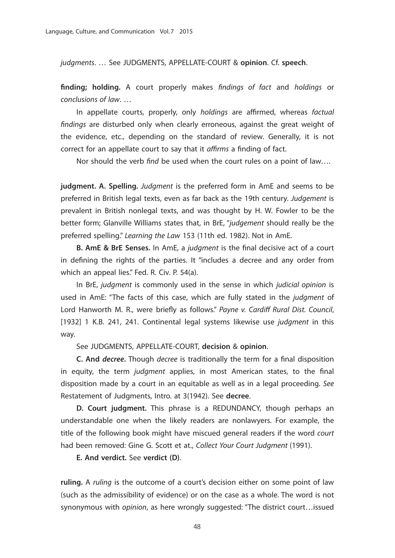judgments. … See JUDGMENTS, APPELLATE-COURT & **opinion**. Cf. **speech**.

**finding; holding.** A court properly makes findings of fact and holdings or conclusions of law. …

In appellate courts, properly, only holdings are affirmed, whereas factual findings are disturbed only when clearly erroneous, against the great weight of the evidence, etc., depending on the standard of review. Generally, it is not correct for an appellate court to say that it affirms a finding of fact.

Nor should the verb find be used when the court rules on a point of law....

**judgment. A. Spelling.** Judgment is the preferred form in AmE and seems to be preferred in British legal texts, even as far back as the 19th century. Judgement is prevalent in British nonlegal texts, and was thought by H. W. Fowler to be the better form; Glanville Williams states that, in BrE, "judgement should really be the preferred spelling." Learning the Law 153 (11th ed. 1982). Not in AmE.

**B. AmE & BrE Senses.** In AmE, a judgment is the final decisive act of a court in defining the rights of the parties. It "includes a decree and any order from which an appeal lies." Fed. R. Civ. P. 54(a).

In BrE, judgment is commonly used in the sense in which judicial opinion is used in AmE: "The facts of this case, which are fully stated in the judgment of Lord Hanworth M. R., were briefly as follows." Payne v. Cardiff Rural Dist. Council, [1932] 1 K.B. 241, 241. Continental legal systems likewise use judgment in this way.

See JUDGMENTS, APPELLATE-COURT, **decision** & **opinion**.

**C. And** *decree*. Though *decree* is traditionally the term for a final disposition in equity, the term judgment applies, in most American states, to the final disposition made by a court in an equitable as well as in a legal proceeding. See Restatement of Judgments, Intro. at 3(1942). See **decree**.

 **D. Court judgment.** This phrase is a REDUNDANCY, though perhaps an understandable one when the likely readers are nonlawyers. For example, the title of the following book might have miscued general readers if the word court had been removed: Gine G. Scott et at., Collect Your Court Judgment (1991).

 **E. And verdict.** See **verdict (D)**.

**ruling.** A ruling is the outcome of a court's decision either on some point of law (such as the admissibility of evidence) or on the case as a whole. The word is not synonymous with opinion, as here wrongly suggested: "The district court…issued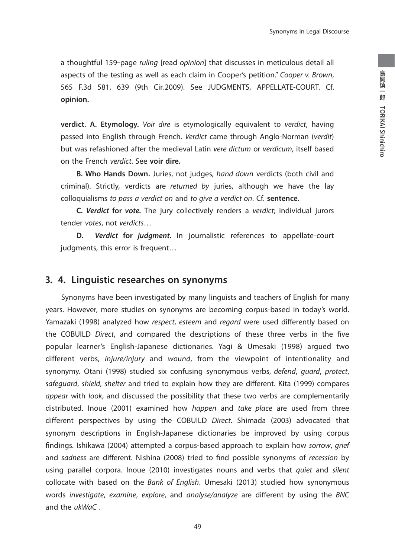Synonyms in Legal Discourse

a thoughtful 159-page ruling [read opinion] that discusses in meticulous detail all aspects of the testing as well as each claim in Cooper's petition." Cooper v. Brown, 565 F.3d 581, 639 (9th Cir.2009). See JUDGMENTS, APPELLATE-COURT. Cf. **opinion.** 

**verdict. A. Etymology.** Voir dire is etymologically equivalent to verdict, having passed into English through French. Verdict came through Anglo-Norman (verdit) but was refashioned after the medieval Latin vere dictum or verdicum, itself based on the French verdict. See **voir dire.**

 **B. Who Hands Down.** Juries, not judges, hand down verdicts (both civil and criminal). Strictly, verdicts are returned by juries, although we have the lay colloquialisms to pass a verdict on and to give a verdict on. Cf. **sentence.**

 **C***. Verdict* **for** *vote.* The jury collectively renders a verdict; individual jurors tender votes, not verdicts…

 **D.** *Verdict* **for** *judgment.* In journalistic references to appellate-court judgments, this error is frequent…

## **3. 4. Linguistic researches on synonyms**

 Synonyms have been investigated by many linguists and teachers of English for many years. However, more studies on synonyms are becoming corpus-based in today's world. Yamazaki (1998) analyzed how respect, esteem and regard were used differently based on the COBUILD Direct, and compared the descriptions of these three verbs in the five popular learner's English-Japanese dictionaries. Yagi & Umesaki (1998) argued two different verbs, *injure/injury* and *wound*, from the viewpoint of intentionality and synonymy. Otani (1998) studied six confusing synonymous verbs, defend, guard, protect, safeguard, shield, shelter and tried to explain how they are different. Kita (1999) compares appear with look, and discussed the possibility that these two verbs are complementarily distributed. Inoue (2001) examined how happen and take place are used from three different perspectives by using the COBUILD Direct. Shimada (2003) advocated that synonym descriptions in English-Japanese dictionaries be improved by using corpus findings. Ishikawa (2004) attempted a corpus-based approach to explain how sorrow, grief and sadness are different. Nishina (2008) tried to find possible synonyms of recession by using parallel corpora. Inoue (2010) investigates nouns and verbs that *quiet* and silent collocate with based on the Bank of English. Umesaki (2013) studied how synonymous words investigate, examine, explore, and analyse/analyze are different by using the BNC and the ukWaC .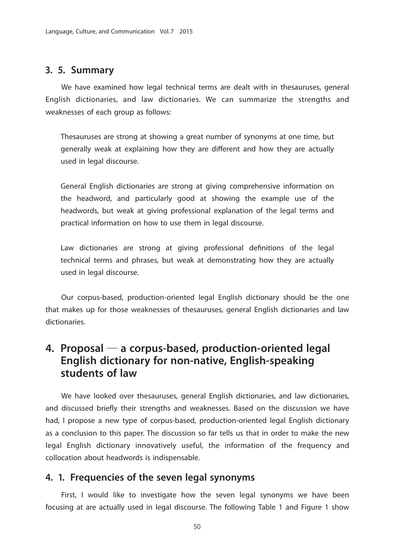## **3. 5. Summary**

 We have examined how legal technical terms are dealt with in thesauruses, general English dictionaries, and law dictionaries. We can summarize the strengths and weaknesses of each group as follows:

Thesauruses are strong at showing a great number of synonyms at one time, but generally weak at explaining how they are different and how they are actually used in legal discourse.

General English dictionaries are strong at giving comprehensive information on the headword, and particularly good at showing the example use of the headwords, but weak at giving professional explanation of the legal terms and practical information on how to use them in legal discourse.

Law dictionaries are strong at giving professional definitions of the legal technical terms and phrases, but weak at demonstrating how they are actually used in legal discourse.

 Our corpus-based, production-oriented legal English dictionary should be the one that makes up for those weaknesses of thesauruses, general English dictionaries and law dictionaries.

# **4. Proposal** ― **a corpus-based, production-oriented legal English dictionary for non-native, English-speaking students of law**

 We have looked over thesauruses, general English dictionaries, and law dictionaries, and discussed briefly their strengths and weaknesses. Based on the discussion we have had, I propose a new type of corpus-based, production-oriented legal English dictionary as a conclusion to this paper. The discussion so far tells us that in order to make the new legal English dictionary innovatively useful, the information of the frequency and collocation about headwords is indispensable.

## **4. 1. Frequencies of the seven legal synonyms**

 First, I would like to investigate how the seven legal synonyms we have been focusing at are actually used in legal discourse. The following Table 1 and Figure 1 show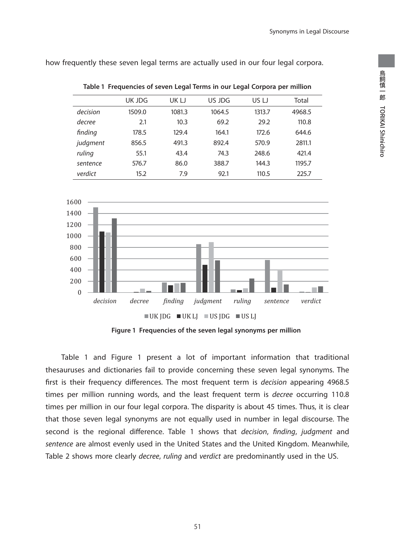how frequently these seven legal terms are actually used in our four legal corpora.

|          | <b>UK JDG</b> | UK LJ  | US JDG | US LJ  | Total  |
|----------|---------------|--------|--------|--------|--------|
| decision | 1509.0        | 1081.3 | 1064.5 | 1313.7 | 4968.5 |
| decree   | 2.1           | 10.3   | 69.2   | 29.2   | 110.8  |
| finding  | 178.5         | 129.4  | 164.1  | 172.6  | 644.6  |
| judgment | 856.5         | 491.3  | 892.4  | 570.9  | 2811.1 |
| ruling   | 55.1          | 43.4   | 74.3   | 248.6  | 421.4  |
| sentence | 576.7         | 86.0   | 388.7  | 144.3  | 1195.7 |
| verdict  | 15.2          | 7.9    | 92.1   | 110.5  | 225.7  |

**Table 1 Frequencies of seven Legal Terms in our Legal Corpora per million**



**Figure 1 Frequencies of the seven legal synonyms per million**

 Table 1 and Figure 1 present a lot of important information that traditional thesauruses and dictionaries fail to provide concerning these seven legal synonyms. The first is their frequency differences. The most frequent term is *decision* appearing 4968.5 times per million running words, and the least frequent term is decree occurring 110.8 times per million in our four legal corpora. The disparity is about 45 times. Thus, it is clear that those seven legal synonyms are not equally used in number in legal discourse. The second is the regional difference. Table 1 shows that *decision*, finding, judgment and sentence are almost evenly used in the United States and the United Kingdom. Meanwhile, Table 2 shows more clearly *decree, ruling* and verdict are predominantly used in the US.

51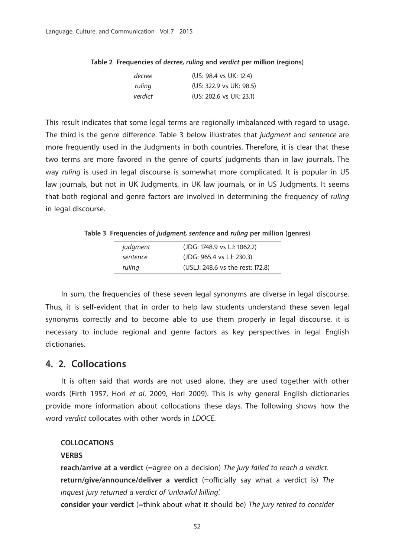| decree  | (US: 98.4 vs UK: 12.4)  |
|---------|-------------------------|
| ruling  | (US: 322.9 vs UK: 98.5) |
| verdict | (US: 202.6 vs UK: 23.1) |

**Table 2 Frequencies of** *decree, ruling* **and** *verdict* **per million (regions)**

This result indicates that some legal terms are regionally imbalanced with regard to usage. The third is the genre difference. Table 3 below illustrates that judgment and sentence are more frequently used in the Judgments in both countries. Therefore, it is clear that these two terms are more favored in the genre of courts' judgments than in law journals. The way ruling is used in legal discourse is somewhat more complicated. It is popular in US law journals, but not in UK Judgments, in UK law journals, or in US Judgments. It seems that both regional and genre factors are involved in determining the frequency of ruling in legal discourse.

**Table 3 Frequencies of** *judgment, sentence* **and** *ruling* **per million (genres)**

| judgment | (JDG: 1748.9 vs LJ: 1062.2)      |
|----------|----------------------------------|
| sentence | (JDG: 965.4 vs LJ: 230.3)        |
| ruling   | (USLJ: 248.6 vs the rest: 172.8) |

 In sum, the frequencies of these seven legal synonyms are diverse in legal discourse. Thus, it is self-evident that in order to help law students understand these seven legal synonyms correctly and to become able to use them properly in legal discourse, it is necessary to include regional and genre factors as key perspectives in legal English dictionaries.

## **4. 2. Collocations**

 It is often said that words are not used alone, they are used together with other words (Firth 1957, Hori et al. 2009, Hori 2009). This is why general English dictionaries provide more information about collocations these days. The following shows how the word verdict collocates with other words in LDOCE.

#### **COLLOCATIONS**

#### **VERBS**

**reach/arrive at a verdict** (=agree on a decision) The jury failed to reach a verdict. **return/give/announce/deliver a verdict** (=officially say what a verdict is) The inquest jury returned a verdict of 'unlawful killing'.

**consider your verdict** (=think about what it should be) The jury retired to consider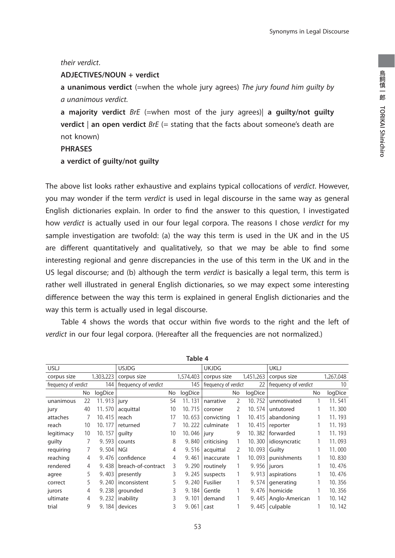#### their verdict.

#### **ADJECTIVES/NOUN + verdict**

**a unanimous verdict** (=when the whole jury agrees) The jury found him guilty by a unanimous verdict.

**a majority verdict** BrE (=when most of the jury agrees)| **a guilty/not guilty verdict** an open verdict *BrE* (= stating that the facts about someone's death are not known)

#### **PHRASES**

#### **a verdict of guilty/not guilty**

The above list looks rather exhaustive and explains typical collocations of verdict. However, you may wonder if the term verdict is used in legal discourse in the same way as general English dictionaries explain. In order to find the answer to this question, I investigated how verdict is actually used in our four legal corpora. The reasons I chose verdict for my sample investigation are twofold: (a) the way this term is used in the UK and in the US are different quantitatively and qualitatively, so that we may be able to find some interesting regional and genre discrepancies in the use of this term in the UK and in the US legal discourse; and (b) although the term verdict is basically a legal term, this term is rather well illustrated in general English dictionaries, so we may expect some interesting difference between the way this term is explained in general English dictionaries and the way this term is actually used in legal discourse.

Table 4 shows the words that occur within five words to the right and the left of verdict in our four legal corpora. (Hereafter all the frequencies are not normalized.)

| Table 4              |    |             |                      |    |           |                      |    |           |                      |    |           |
|----------------------|----|-------------|----------------------|----|-----------|----------------------|----|-----------|----------------------|----|-----------|
| <b>USLJ</b>          |    |             | <b>USJDG</b>         |    |           | <b>UKJDG</b>         |    |           | <b>UKLJ</b>          |    |           |
| corpus size          |    | 1,303,223   | corpus size          |    | 1,574,403 | corpus size          |    | 1,451,263 | corpus size          |    | 1,267,048 |
| frequency of verdict |    | 144         | frequency of verdict |    | 145       | frequency of verdict |    | 22        | frequency of verdict |    | 10        |
|                      | No | logDice     |                      | No | logDice   |                      | No | logDice   |                      | No | logDice   |
| unanimous            | 22 | 11.913 jury |                      | 54 | 11.131    | narrative            | 2  | 10.752    | unmotivated          |    | 11.541    |
| jury                 | 40 | 11.570      | acquittal            | 10 | 10.715    | coroner              | 2  | 10.574    | untutored            |    | 11.300    |
| attaches             | 7  | 10.415      | reach                | 17 | 10.653    | convicting           |    | 10.415    | abandoning           |    | 11.193    |
| reach                | 10 | 10.177      | returned             |    | 10.222    | culminate            |    | 10.415    | reporter             |    | 11.193    |
| legitimacy           | 10 | 10.157      | quilty               | 10 | 10.046    | jury                 | 9  | 10.382    | forwarded            |    | 11.193    |
| quilty               | 7  | 9.593       | counts               | 8  | 9.840     | criticising          |    | 10.300    | idiosyncratic        |    | 11.093    |
| requiring            | 7  | 9.504       | <b>NGI</b>           | 4  | 9.516     | acquittal            | 2  | 10.093    | Guilty               |    | 11.000    |
| reaching             | 4  | 9.476       | confidence           | 4  | 9.461     | inaccurate           |    | 10.093    | punishments          |    | 10.830    |
| rendered             | 4  | 9.438       | breach-of-contract   | 3  | 9.290     | routinely            |    | 9.956     | jurors               |    | 10.476    |
| agree                | 5  | 9.403       | presently            | 3  | 9.245     | suspects             |    | 9.913     | aspirations          |    | 10.476    |
| correct              | 5  | 9.240       | inconsistent         | 5  | 9.240     | Fusilier             | 1  | 9.574     | generating           |    | 10.356    |
| jurors               | 4  | 9.238       | grounded             | 3  | 9.184     | Gentle               | 1  | 9.476     | homicide             |    | 10.356    |
| ultimate             | 4  | 9.232       | inability            | 3  | 9.101     | demand               |    | 9.445     | Anglo-American       |    | 10.142    |
| trial                | 9  |             | 9.184 devices        | 3  | 9.061     | cast                 |    | 9.445     | culpable             |    | 10.142    |

**Table 4**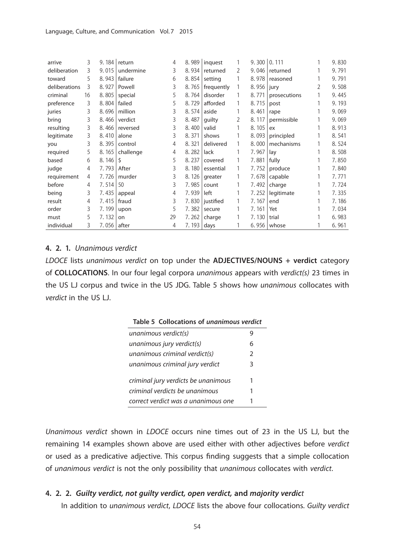| arrive        | 3  | 9.184 | return    | 4  | 8.989 | inquest    | 1 | 9.300 | 0.111        |   | 9.830 |
|---------------|----|-------|-----------|----|-------|------------|---|-------|--------------|---|-------|
| deliberation  | 3  | 9.015 | undermine | 3  | 8.934 | returned   | 2 | 9.046 | returned     |   | 9.791 |
| toward        | 5  | 8.943 | failure   | 6  | 8.854 | setting    | 1 | 8.978 | reasoned     |   | 9.791 |
| deliberations | 3  | 8.927 | Powell    | 3  | 8.765 | frequently | 1 | 8.956 | jury         | 2 | 9.508 |
| criminal      | 16 | 8.805 | special   | 5  | 8.764 | disorder   |   | 8.771 | prosecutions |   | 9.445 |
| preference    | 3  | 8.804 | failed    | 5  | 8.729 | afforded   | 1 | 8.715 | post         |   | 9.193 |
| juries        | 3  | 8.696 | million   | 3  | 8.574 | aside      | 1 | 8.461 | rape         |   | 9.069 |
| bring         | 3  | 8.466 | verdict   | 3  | 8.487 | quilty     | 2 | 8.117 | permissible  |   | 9.069 |
| resulting     | 3  | 8.466 | reversed  | 3  | 8.400 | valid      |   | 8.105 | ex           |   | 8.913 |
| legitimate    | 3  | 8.410 | alone     | 3  | 8.371 | shows      |   | 8.093 | principled   |   | 8.541 |
| you           | 3  | 8.395 | control   | 4  | 8.321 | delivered  |   | 8.000 | mechanisms   |   | 8.524 |
| required      | 5  | 8.165 | challenge | 4  | 8.282 | lack       |   | 7.967 | lay          |   | 8.508 |
| based         | 6  | 8.146 | \$        | 5  | 8.237 | covered    |   | 7.881 | fully        |   | 7.850 |
| judge         | 4  | 7.793 | After     | 3  | 8.180 | essential  | 1 | 7.752 | produce      |   | 7.840 |
| requirement   | 4  | 7.726 | murder    | 3  | 8.126 | greater    |   | 7.678 | capable      |   | 7.771 |
| before        | 4  | 7.514 | 50        | 3  | 7.985 | count      | 1 | 7.492 | charge       |   | 7.724 |
| being         | 3  | 7.435 | appeal    | 4  | 7.939 | left       |   | 7.252 | legitimate   |   | 7.335 |
| result        | 4  | 7.415 | fraud     | 3  | 7.830 | justified  | 1 | 7.167 | end          |   | 7.186 |
| order         | 3  | 7.199 | upon      | 5  | 7.382 | secure     |   | 7.161 | Yet          |   | 7.034 |
| must          | 5  | 7.132 | on        | 29 | 7.262 | charge     |   | 7.130 | trial        |   | 6.983 |
| individual    | 3  | 7.056 | after     | 4  | 7.193 | days       |   | 6.956 | whose        |   | 6.961 |

#### **4. 2. 1.** Unanimous verdict

LDOCE lists unanimous verdict on top under the **ADJECTIVES/NOUNS + verdict** category of **COLLOCATIONS**. In our four legal corpora unanimous appears with verdict(s) 23 times in the US LJ corpus and twice in the US JDG. Table 5 shows how unanimous collocates with verdict in the US LJ.

| Table 5 Collocations of unanimous verdict |               |
|-------------------------------------------|---------------|
| unanimous verdict(s)                      |               |
| unanimous jury verdict(s)                 | 6             |
| unanimous criminal verdict(s)             | $\mathcal{P}$ |
| unanimous criminal jury verdict           | 3             |
| criminal jury verdicts be unanimous       |               |

criminal verdicts be unanimous 1 correct verdict was a unanimous one 1

# Unanimous verdict shown in LDOCE occurs nine times out of 23 in the US LJ, but the remaining 14 examples shown above are used either with other adjectives before verdict or used as a predicative adjective. This corpus finding suggests that a simple collocation of unanimous verdict is not the only possibility that unanimous collocates with verdict.

#### **4. 2. 2.** *Guilty verdict, not guilty verdict, open verdict,* **and** *majority verdic*t

In addition to unanimous verdict, LDOCE lists the above four collocations. Guilty verdict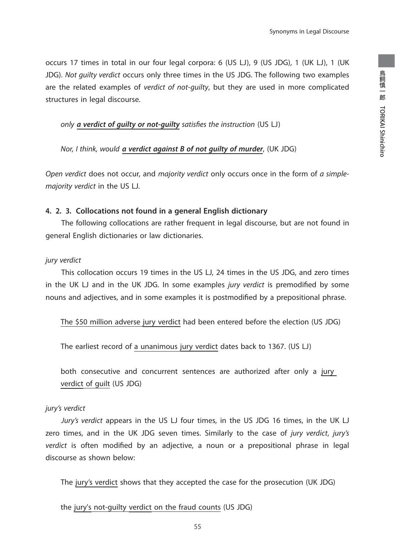occurs 17 times in total in our four legal corpora: 6 (US LJ), 9 (US JDG), 1 (UK LJ), 1 (UK JDG). Not guilty verdict occurs only three times in the US JDG. The following two examples are the related examples of *verdict of not-quilty*, but they are used in more complicated structures in legal discourse.

only *a verdict of quilty or not-quilty satisfies the instruction* (US LJ)

Nor, I think, would *a verdict against B of not guilty of murder*, (UK JDG)

Open verdict does not occur, and majority verdict only occurs once in the form of a simplemajority verdict in the US LJ.

### **4. 2. 3. Collocations not found in a general English dictionary**

 The following collocations are rather frequent in legal discourse, but are not found in general English dictionaries or law dictionaries.

## jury verdict

 This collocation occurs 19 times in the US LJ, 24 times in the US JDG, and zero times in the UK LJ and in the UK JDG. In some examples jury verdict is premodified by some nouns and adjectives, and in some examples it is postmodified by a prepositional phrase.

The \$50 million adverse jury verdict had been entered before the election (US JDG)

The earliest record of a unanimous jury verdict dates back to 1367. (US LJ)

both consecutive and concurrent sentences are authorized after only a jury verdict of guilt (US JDG)

## jury's verdict

 Jury's verdict appears in the US LJ four times, in the US JDG 16 times, in the UK LJ zero times, and in the UK JDG seven times. Similarly to the case of jury verdict, jury's verdict is often modified by an adjective, a noun or a prepositional phrase in legal discourse as shown below:

The jury's verdict shows that they accepted the case for the prosecution (UK JDG)

the jury's not-guilty verdict on the fraud counts (US JDG)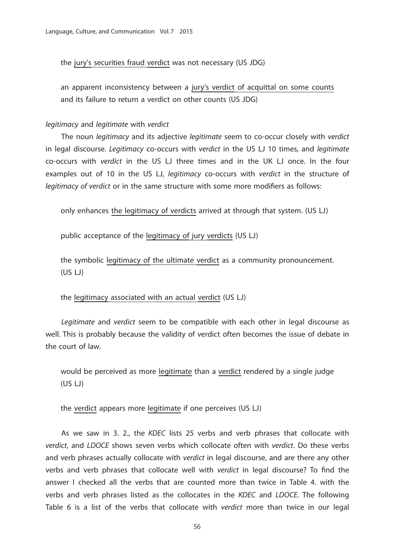the jury's securities fraud verdict was not necessary (US JDG)

an apparent inconsistency between a jury's verdict of acquittal on some counts and its failure to return a verdict on other counts (US JDG)

#### legitimacy and legitimate with verdict

The noun *legitimacy* and its adjective *legitimate* seem to co-occur closely with verdict in legal discourse. Legitimacy co-occurs with verdict in the US LJ 10 times, and legitimate co-occurs with verdict in the US LJ three times and in the UK LJ once. In the four examples out of 10 in the US LJ, legitimacy co-occurs with verdict in the structure of legitimacy of verdict or in the same structure with some more modifiers as follows:

only enhances the legitimacy of verdicts arrived at through that system. (US LJ)

public acceptance of the legitimacy of jury verdicts (US LJ)

the symbolic legitimacy of the ultimate verdict as a community pronouncement. (US LJ)

the legitimacy associated with an actual verdict (US LJ)

 Legitimate and verdict seem to be compatible with each other in legal discourse as well. This is probably because the validity of verdict often becomes the issue of debate in the court of law.

would be perceived as more legitimate than a verdict rendered by a single judge (US LJ)

the verdict appears more legitimate if one perceives (US LJ)

 As we saw in 3. 2., the KDEC lists 25 verbs and verb phrases that collocate with verdict, and LDOCE shows seven verbs which collocate often with verdict. Do these verbs and verb phrases actually collocate with verdict in legal discourse, and are there any other verbs and verb phrases that collocate well with verdict in legal discourse? To find the answer I checked all the verbs that are counted more than twice in Table 4. with the verbs and verb phrases listed as the collocates in the KDEC and LDOCE. The following Table 6 is a list of the verbs that collocate with verdict more than twice in our legal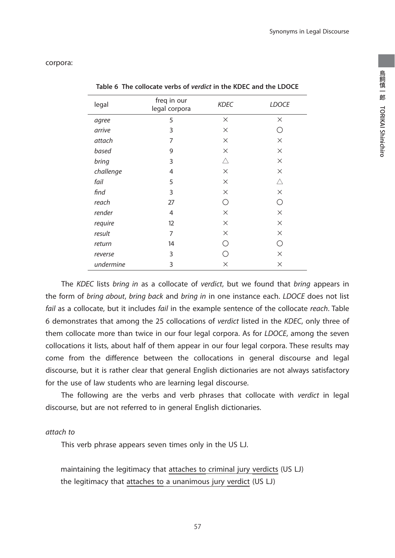ー・ロー・コー

TORIKAI Shinichiro

鳥飼慎一郎 TORIKAI Shinichiro

corpora:

| legal     | freq in our<br>legal corpora | <b>KDEC</b> | <b>LDOCE</b> |
|-----------|------------------------------|-------------|--------------|
| agree     | 5                            | $\times$    | $\times$     |
| arrive    | 3                            | $\times$    | ∩            |
| attach    | 7                            | $\times$    | $\times$     |
| based     | 9                            | $\times$    | $\times$     |
| bring     | 3                            | Δ           | $\times$     |
| challenge | 4                            | $\times$    | $\times$     |
| fail      | 5                            | $\times$    | Δ            |
| find      | 3                            | $\times$    | $\times$     |
| reach     | 27                           | ∩           | ∩            |
| render    | 4                            | $\times$    | $\times$     |
| require   | 12                           | $\times$    | $\times$     |
| result    | 7                            | $\times$    | $\times$     |
| return    | 14                           | ( )         | ∩            |
| reverse   | 3                            | ( )         | $\times$     |
| undermine | 3                            | $\times$    | $\times$     |

**Table 6 The collocate verbs of** *verdict* **in the KDEC and the LDOCE**

The KDEC lists bring in as a collocate of verdict, but we found that bring appears in the form of bring about, bring back and bring in in one instance each. LDOCE does not list fail as a collocate, but it includes fail in the example sentence of the collocate reach. Table 6 demonstrates that among the 25 collocations of verdict listed in the KDEC, only three of them collocate more than twice in our four legal corpora. As for LDOCE, among the seven collocations it lists, about half of them appear in our four legal corpora. These results may come from the difference between the collocations in general discourse and legal discourse, but it is rather clear that general English dictionaries are not always satisfactory for the use of law students who are learning legal discourse.

 The following are the verbs and verb phrases that collocate with verdict in legal discourse, but are not referred to in general English dictionaries.

#### attach to

This verb phrase appears seven times only in the US LJ.

maintaining the legitimacy that attaches to criminal jury verdicts (US LJ) the legitimacy that attaches to a unanimous jury verdict (US LJ)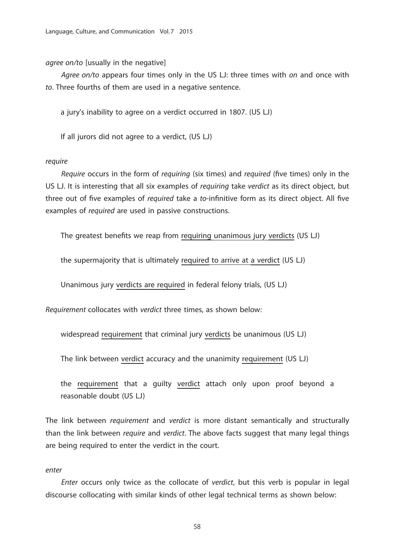agree on/to [usually in the negative]

Agree on/to appears four times only in the US LJ: three times with on and once with to. Three fourths of them are used in a negative sentence.

a jury's inability to agree on a verdict occurred in 1807. (US LJ)

If all jurors did not agree to a verdict, (US LJ)

#### require

Require occurs in the form of requiring (six times) and required (five times) only in the US LJ. It is interesting that all six examples of *requiring* take verdict as its direct object, but three out of five examples of required take a to-infinitive form as its direct object. All five examples of required are used in passive constructions.

The greatest benefits we reap from requiring unanimous jury verdicts (US LJ)

the supermajority that is ultimately required to arrive at a verdict (US LJ)

Unanimous jury verdicts are required in federal felony trials, (US LJ)

Requirement collocates with verdict three times, as shown below:

widespread requirement that criminal jury verdicts be unanimous (US LJ)

The link between verdict accuracy and the unanimity requirement (US LJ)

the requirement that a guilty verdict attach only upon proof beyond a reasonable doubt (US LJ)

The link between *requirement* and *verdict* is more distant semantically and structurally than the link between *require* and *verdict*. The above facts suggest that many legal things are being required to enter the verdict in the court.

#### enter

Enter occurs only twice as the collocate of verdict, but this verb is popular in legal discourse collocating with similar kinds of other legal technical terms as shown below:

58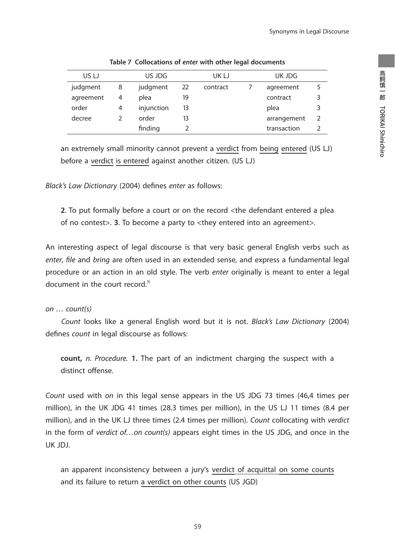| US LJ     |   | US JDG     |    | UK LJ    | UK JDG      |               |
|-----------|---|------------|----|----------|-------------|---------------|
| judgment  | 8 | judgment   | 22 | contract | agreement   | 5             |
| agreement | 4 | plea       | 19 |          | contract    | 3             |
| order     | 4 | injunction | 13 |          | plea        | 3             |
| decree    |   | order      | 13 |          | arrangement | $\mathcal{L}$ |
|           |   | finding    |    |          | transaction |               |

**Table 7 Collocations of** *enter* **with other legal documents**

an extremely small minority cannot prevent a verdict from being entered (US LJ) before a verdict is entered against another citizen. (US LJ)

Black's Law Dictionary (2004) defines enter as follows:

**2**. To put formally before a court or on the record <the defendant entered a plea of no contest>. **3**. To become a party to <they entered into an agreement>.

An interesting aspect of legal discourse is that very basic general English verbs such as enter, file and bring are often used in an extended sense, and express a fundamental legal procedure or an action in an old style. The verb enter originally is meant to enter a legal document in the court record.<sup>3)</sup>

#### on … count(s)

Count looks like a general English word but it is not. Black's Law Dictionary (2004) defines count in legal discourse as follows:

**count,** n. Procedure. **1.** The part of an indictment charging the suspect with a distinct offense.

Count used with on in this legal sense appears in the US JDG 73 times (46,4 times per million), in the UK JDG 41 times (28.3 times per million), in the US LJ 11 times (8.4 per million), and in the UK LJ three times (2.4 times per million). Count collocating with verdict in the form of verdict of...on count(s) appears eight times in the US JDG, and once in the UK JDJ.

an apparent inconsistency between a jury's verdict of acquittal on some counts and its failure to return a verdict on other counts (US JGD)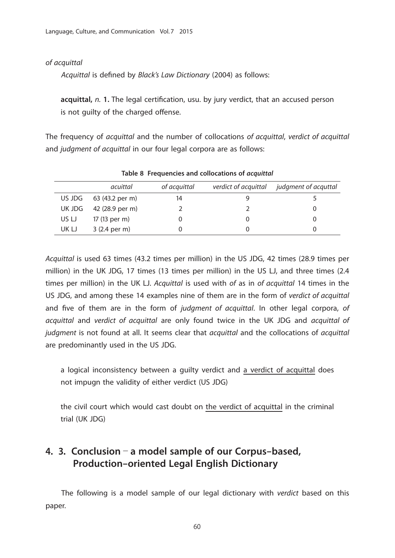#### of acquittal

Acquittal is defined by Black's Law Dictionary (2004) as follows:

**acquittal,** n. 1. The legal certification, usu. by jury verdict, that an accused person is not quilty of the charged offense.

The frequency of acquittal and the number of collocations of acquittal, verdict of acquittal and judgment of acquittal in our four legal corpora are as follows:

|       | acuittal               | of acquittal | verdict of acquittal | judgment of acquttal |  |  |  |  |  |
|-------|------------------------|--------------|----------------------|----------------------|--|--|--|--|--|
|       | US JDG 63 (43.2 per m) | 14           |                      |                      |  |  |  |  |  |
|       | UK JDG 42 (28.9 per m) |              |                      |                      |  |  |  |  |  |
| US LJ | 17 (13 per m)          |              |                      |                      |  |  |  |  |  |
| UK LJ | 3 (2.4 per m)          |              |                      |                      |  |  |  |  |  |

**Table 8 Frequencies and collocations of** *acquittal*

Acquittal is used 63 times (43.2 times per million) in the US JDG, 42 times (28.9 times per million) in the UK JDG, 17 times (13 times per million) in the US LJ, and three times (2.4 times per million) in the UK LJ. Acquittal is used with of as in of acquittal 14 times in the US JDG, and among these 14 examples nine of them are in the form of verdict of acquittal and five of them are in the form of judgment of acquittal. In other legal corpora, of acquittal and verdict of acquittal are only found twice in the UK JDG and acquittal of judgment is not found at all. It seems clear that *acquittal* and the collocations of *acquittal* are predominantly used in the US JDG.

a logical inconsistency between a guilty verdict and a verdict of acquittal does not impugn the validity of either verdict (US JDG)

the civil court which would cast doubt on the verdict of acquittal in the criminal trial (UK JDG)

# **4. 3. Conclusion** - **a model sample of our Corpus-based, Production-oriented Legal English Dictionary**

 The following is a model sample of our legal dictionary with verdict based on this paper.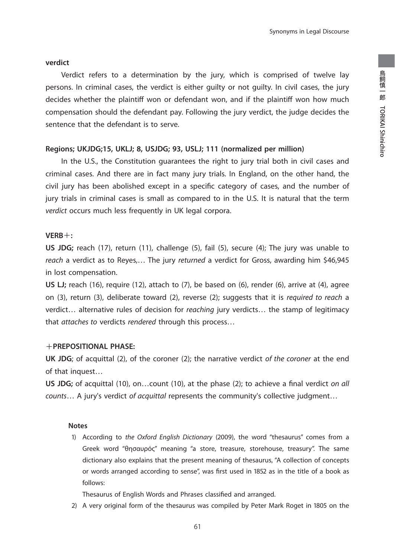#### **verdict**

 Verdict refers to a determination by the jury, which is comprised of twelve lay persons. In criminal cases, the verdict is either guilty or not guilty. In civil cases, the jury decides whether the plaintiff won or defendant won, and if the plaintiff won how much compensation should the defendant pay. Following the jury verdict, the judge decides the sentence that the defendant is to serve.

#### **Regions; UKJDG;15, UKLJ; 8, USJDG; 93, USLJ; 111 (normalized per million)**

 In the U.S., the Constitution guarantees the right to jury trial both in civil cases and criminal cases. And there are in fact many jury trials. In England, on the other hand, the civil jury has been abolished except in a specific category of cases, and the number of jury trials in criminal cases is small as compared to in the U.S. It is natural that the term verdict occurs much less frequently in UK legal corpora.

#### **VERB**+**:**

**US JDG;** reach (17), return (11), challenge (5), fail (5), secure (4); The jury was unable to reach a verdict as to Reyes,... The jury returned a verdict for Gross, awarding him \$46,945 in lost compensation.

US LJ; reach (16), require (12), attach to (7), be based on (6), render (6), arrive at (4), agree on (3), return (3), deliberate toward (2), reverse (2); suggests that it is required to reach a verdict… alternative rules of decision for reaching jury verdicts… the stamp of legitimacy that attaches to verdicts rendered through this process…

#### +**PREPOSITIONAL PHASE:**

**UK JDG**; of acquittal (2), of the coroner (2); the narrative verdict of the coroner at the end of that inquest…

US JDG; of acquittal (10), on...count (10), at the phase (2); to achieve a final verdict on all counts… A jury's verdict of acquittal represents the community's collective judgment…

#### **Notes**

 1) According to the Oxford English Dictionary (2009), the word "thesaurus" comes from a Greek word "θησαυρός" meaning "a store, treasure, storehouse, treasury". The same dictionary also explains that the present meaning of thesaurus, "A collection of concepts or words arranged according to sense", was first used in 1852 as in the title of a book as follows:

Thesaurus of English Words and Phrases classified and arranged.

2) A very original form of the thesaurus was compiled by Peter Mark Roget in 1805 on the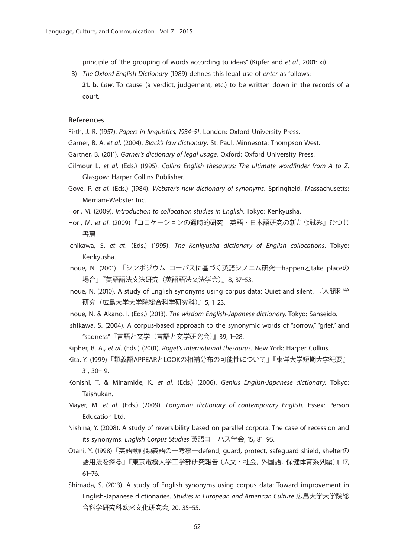principle of "the grouping of words according to ideas" (Kipfer and et al., 2001: xi)

3) The Oxford English Dictionary (1989) defines this legal use of enter as follows:  **21. b.** Law. To cause (a verdict, judgement, etc.) to be written down in the records of a court.

#### **References**

Firth, J. R. (1957). Papers in linguistics, 1934-51. London: Oxford University Press.

- Garner, B. A. et al. (2004). Black's law dictionary. St. Paul, Minnesota: Thompson West.
- Gartner, B. (2011). Garner's dictionary of legal usage. Oxford: Oxford University Press.
- Gilmour L. et al. (Eds.) (1995). Collins English thesaurus: The ultimate wordfinder from A to Z. Glasgow: Harper Collins Publisher.
- Gove, P. et al. (Eds.) (1984). Webster's new dictionary of synonyms. Springfield, Massachusetts: Merriam-Webster Inc.
- Hori, M. (2009). Introduction to collocation studies in English. Tokyo: Kenkyusha.
- Hori, M. et al. (2009)『コロケーションの通時的研究 英語・日本語研究の新たな試み』ひつじ 書房
- Ichikawa, S. et at. (Eds.) (1995). The Kenkyusha dictionary of English collocations. Tokyo: Kenkyusha.
- Inoue, N. (2001) 「シンポジウム コーパスに基づく英語シノニム研究―happenとtake placeの 場合」『英語語法文法研究(英語語法文法学会)』8, 37‒53.
- Inoue, N. (2010). A study of English synonyms using corpus data: Quiet and silent. 『人間科学 研究(広島大学大学院総合科学研究科)』5, 1‒23.
- Inoue, N. & Akano, I. (Eds.) (2013). The wisdom English-Japanese dictionary. Tokyo: Sanseido.
- Ishikawa, S. (2004). A corpus-based approach to the synonymic words of "sorrow," "grief," and "sadness"『言語と文学(言語と文学研究会)』39, 1‒28.
- Kipher, B. A., et al. (Eds.) (2001). Roget's international thesaurus. New York: Harper Collins.
- Kita, Y. (1999)「類義語APPEARとLOOKの相補分布の可能性について」『東洋大学短期大学紀要』 31, 30‒19.
- Konishi, T. & Minamide, K. et al. (Eds.) (2006). Genius English-Japanese dictionary. Tokyo: Taishukan.
- Mayer, M. et al. (Eds.) (2009). Longman dictionary of contemporary English. Essex: Person Education Ltd.
- Nishina, Y. (2008). A study of reversibility based on parallel corpora: The case of recession and its synonyms. English Corpus Studies 英語コーパス学会, 15, 81-95.
- Otani, Y. (1998)「英語動詞類義語の一考察―defend, guard, protect, safeguard shield, shelterの 語用法を探る」『東京電機大学工学部研究報告(人文・社会,外国語,保健体育系列編)』17,  $61 - 76.$
- Shimada, S. (2013). A study of English synonyms using corpus data: Toward improvement in English-Japanese dictionaries. Studies in European and American Culture 広島大学大学院総 合科学研究科欧米文化研究会, 20, 35‒55.